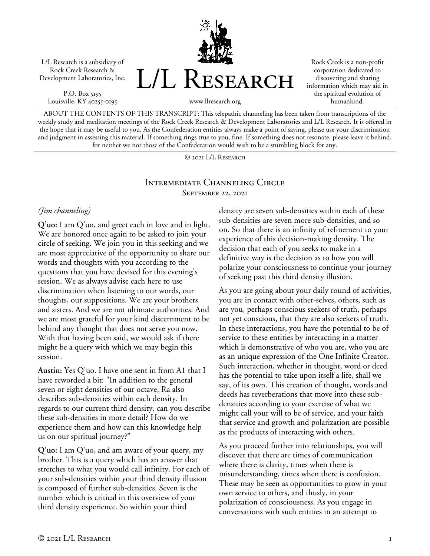L/L Research is a subsidiary of Rock Creek Research & Development Laboratories, Inc.

P.O. Box 5195 Louisville, KY 40255-0195 L/L RESEARCH

Rock Creek is a non-profit corporation dedicated to discovering and sharing information which may aid in the spiritual evolution of humankind.

www.llresearch.org

ABOUT THE CONTENTS OF THIS TRANSCRIPT: This telepathic channeling has been taken from transcriptions of the weekly study and meditation meetings of the Rock Creek Research & Development Laboratories and L/L Research. It is offered in the hope that it may be useful to you. As the Confederation entities always make a point of saying, please use your discrimination and judgment in assessing this material. If something rings true to you, fine. If something does not resonate, please leave it behind, for neither we nor those of the Confederation would wish to be a stumbling block for any.

© 2021 L/L Research

#### Intermediate Channeling Circle September 22, 2021

## *(Jim channeling)*

**Q'uo:** I am Q'uo, and greet each in love and in light. We are honored once again to be asked to join your circle of seeking. We join you in this seeking and we are most appreciative of the opportunity to share our words and thoughts with you according to the questions that you have devised for this evening's session. We as always advise each here to use discrimination when listening to our words, our thoughts, our suppositions. We are your brothers and sisters. And we are not ultimate authorities. And we are most grateful for your kind discernment to be behind any thought that does not serve you now. With that having been said, we would ask if there might be a query with which we may begin this session.

**Austin:** Yes Q'uo. I have one sent in from A1 that I have reworded a bit: "In addition to the general seven or eight densities of our octave, Ra also describes sub-densities within each density. In regards to our current third density, can you describe these sub-densities in more detail? How do we experience them and how can this knowledge help us on our spiritual journey?"

**Q'uo:** I am Q'uo, and am aware of your query, my brother. This is a query which has an answer that stretches to what you would call infinity. For each of your sub-densities within your third density illusion is composed of further sub-densities. Seven is the number which is critical in this overview of your third density experience. So within your third

density are seven sub-densities within each of these sub-densities are seven more sub-densities, and so on. So that there is an infinity of refinement to your experience of this decision-making density. The decision that each of you seeks to make in a definitive way is the decision as to how you will polarize your consciousness to continue your journey of seeking past this third density illusion.

As you are going about your daily round of activities, you are in contact with other-selves, others, such as are you, perhaps conscious seekers of truth, perhaps not yet conscious, that they are also seekers of truth. In these interactions, you have the potential to be of service to these entities by interacting in a matter which is demonstrative of who you are, who you are as an unique expression of the One Infinite Creator. Such interaction, whether in thought, word or deed has the potential to take upon itself a life, shall we say, of its own. This creation of thought, words and deeds has reverberations that move into these subdensities according to your exercise of what we might call your will to be of service, and your faith that service and growth and polarization are possible as the products of interacting with others.

As you proceed further into relationships, you will discover that there are times of communication where there is clarity, times when there is misunderstanding, times when there is confusion. These may be seen as opportunities to grow in your own service to others, and thusly, in your polarization of consciousness. As you engage in conversations with such entities in an attempt to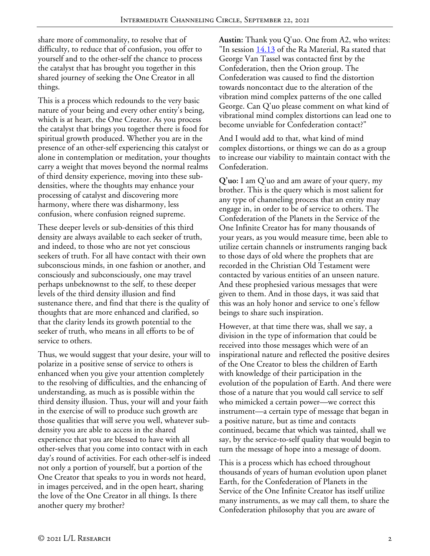share more of commonality, to resolve that of difficulty, to reduce that of confusion, you offer to yourself and to the other-self the chance to process the catalyst that has brought you together in this shared journey of seeking the One Creator in all things.

This is a process which redounds to the very basic nature of your being and every other entity's being, which is at heart, the One Creator. As you process the catalyst that brings you together there is food for spiritual growth produced. Whether you are in the presence of an other-self experiencing this catalyst or alone in contemplation or meditation, your thoughts carry a weight that moves beyond the normal realms of third density experience, moving into these subdensities, where the thoughts may enhance your processing of catalyst and discovering more harmony, where there was disharmony, less confusion, where confusion reigned supreme.

These deeper levels or sub-densities of this third density are always available to each seeker of truth, and indeed, to those who are not yet conscious seekers of truth. For all have contact with their own subconscious minds, in one fashion or another, and consciously and subconsciously, one may travel perhaps unbeknownst to the self, to these deeper levels of the third density illusion and find sustenance there, and find that there is the quality of thoughts that are more enhanced and clarified, so that the clarity lends its growth potential to the seeker of truth, who means in all efforts to be of service to others.

Thus, we would suggest that your desire, your will to polarize in a positive sense of service to others is enhanced when you give your attention completely to the resolving of difficulties, and the enhancing of understanding, as much as is possible within the third density illusion. Thus, your will and your faith in the exercise of will to produce such growth are those qualities that will serve you well, whatever subdensity you are able to access in the shared experience that you are blessed to have with all other-selves that you come into contact with in each day's round of activities. For each other-self is indeed not only a portion of yourself, but a portion of the One Creator that speaks to you in words not heard, in images perceived, and in the open heart, sharing the love of the One Creator in all things. Is there another query my brother?

**Austin:** Thank you Q'uo. One from A2, who writes: "In session  $14.13$  of the Ra Material, Ra stated that George Van Tassel was contacted first by the Confederation, then the Orion group. The Confederation was caused to find the distortion towards noncontact due to the alteration of the vibration mind complex patterns of the one called George. Can Q'uo please comment on what kind of vibrational mind complex distortions can lead one to become unviable for Confederation contact?"

And I would add to that, what kind of mind complex distortions, or things we can do as a group to increase our viability to maintain contact with the Confederation.

**Q'uo:** I am Q'uo and am aware of your query, my brother. This is the query which is most salient for any type of channeling process that an entity may engage in, in order to be of service to others. The Confederation of the Planets in the Service of the One Infinite Creator has for many thousands of your years, as you would measure time, been able to utilize certain channels or instruments ranging back to those days of old where the prophets that are recorded in the Christian Old Testament were contacted by various entities of an unseen nature. And these prophesied various messages that were given to them. And in those days, it was said that this was an holy honor and service to one's fellow beings to share such inspiration.

However, at that time there was, shall we say, a division in the type of information that could be received into those messages which were of an inspirational nature and reflected the positive desires of the One Creator to bless the children of Earth with knowledge of their participation in the evolution of the population of Earth. And there were those of a nature that you would call service to self who mimicked a certain power—we correct this instrument—a certain type of message that began in a positive nature, but as time and contacts continued, became that which was tainted, shall we say, by the service-to-self quality that would begin to turn the message of hope into a message of doom.

This is a process which has echoed throughout thousands of years of human evolution upon planet Earth, for the Confederation of Planets in the Service of the One Infinite Creator has itself utilize many instruments, as we may call them, to share the Confederation philosophy that you are aware of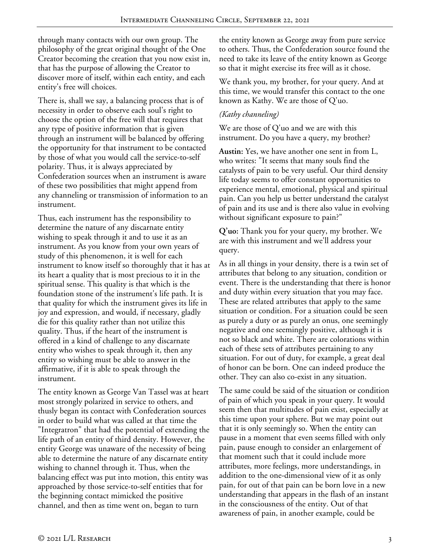through many contacts with our own group. The philosophy of the great original thought of the One Creator becoming the creation that you now exist in, that has the purpose of allowing the Creator to discover more of itself, within each entity, and each entity's free will choices.

There is, shall we say, a balancing process that is of necessity in order to observe each soul's right to choose the option of the free will that requires that any type of positive information that is given through an instrument will be balanced by offering the opportunity for that instrument to be contacted by those of what you would call the service-to-self polarity. Thus, it is always appreciated by Confederation sources when an instrument is aware of these two possibilities that might append from any channeling or transmission of information to an instrument.

Thus, each instrument has the responsibility to determine the nature of any discarnate entity wishing to speak through it and to use it as an instrument. As you know from your own years of study of this phenomenon, it is well for each instrument to know itself so thoroughly that it has at its heart a quality that is most precious to it in the spiritual sense. This quality is that which is the foundation stone of the instrument's life path. It is that quality for which the instrument gives its life in joy and expression, and would, if necessary, gladly die for this quality rather than not utilize this quality. Thus, if the heart of the instrument is offered in a kind of challenge to any discarnate entity who wishes to speak through it, then any entity so wishing must be able to answer in the affirmative, if it is able to speak through the instrument.

The entity known as George Van Tassel was at heart most strongly polarized in service to others, and thusly began its contact with Confederation sources in order to build what was called at that time the "Integratron" that had the potential of extending the life path of an entity of third density. However, the entity George was unaware of the necessity of being able to determine the nature of any discarnate entity wishing to channel through it. Thus, when the balancing effect was put into motion, this entity was approached by those service-to-self entities that for the beginning contact mimicked the positive channel, and then as time went on, began to turn

the entity known as George away from pure service to others. Thus, the Confederation source found the need to take its leave of the entity known as George so that it might exercise its free will as it chose.

We thank you, my brother, for your query. And at this time, we would transfer this contact to the one known as Kathy. We are those of Q'uo.

# *(Kathy channeling)*

We are those of Q'uo and we are with this instrument. Do you have a query, my brother?

**Austin:** Yes, we have another one sent in from L, who writes: "It seems that many souls find the catalysts of pain to be very useful. Our third density life today seems to offer constant opportunities to experience mental, emotional, physical and spiritual pain. Can you help us better understand the catalyst of pain and its use and is there also value in evolving without significant exposure to pain?"

**Q'uo:** Thank you for your query, my brother. We are with this instrument and we'll address your query.

As in all things in your density, there is a twin set of attributes that belong to any situation, condition or event. There is the understanding that there is honor and duty within every situation that you may face. These are related attributes that apply to the same situation or condition. For a situation could be seen as purely a duty or as purely an onus, one seemingly negative and one seemingly positive, although it is not so black and white. There are colorations within each of these sets of attributes pertaining to any situation. For out of duty, for example, a great deal of honor can be born. One can indeed produce the other. They can also co-exist in any situation.

The same could be said of the situation or condition of pain of which you speak in your query. It would seem then that multitudes of pain exist, especially at this time upon your sphere. But we may point out that it is only seemingly so. When the entity can pause in a moment that even seems filled with only pain, pause enough to consider an enlargement of that moment such that it could include more attributes, more feelings, more understandings, in addition to the one-dimensional view of it as only pain, for out of that pain can be born love in a new understanding that appears in the flash of an instant in the consciousness of the entity. Out of that awareness of pain, in another example, could be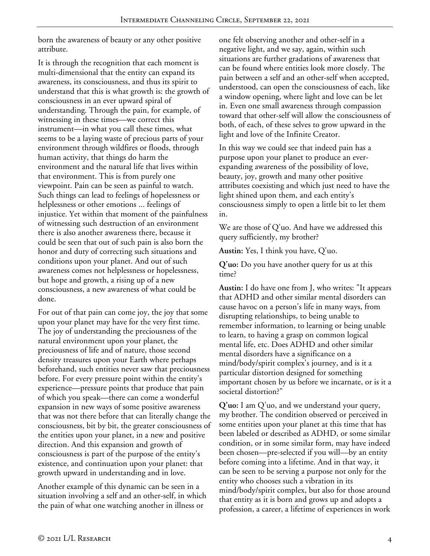born the awareness of beauty or any other positive attribute.

It is through the recognition that each moment is multi-dimensional that the entity can expand its awareness, its consciousness, and thus its spirit to understand that this is what growth is: the growth of consciousness in an ever upward spiral of understanding. Through the pain, for example, of witnessing in these times—we correct this instrument—in what you call these times, what seems to be a laying waste of precious parts of your environment through wildfires or floods, through human activity, that things do harm the environment and the natural life that lives within that environment. This is from purely one viewpoint. Pain can be seen as painful to watch. Such things can lead to feelings of hopelessness or helplessness or other emotions ... feelings of injustice. Yet within that moment of the painfulness of witnessing such destruction of an environment there is also another awareness there, because it could be seen that out of such pain is also born the honor and duty of correcting such situations and conditions upon your planet. And out of such awareness comes not helplessness or hopelessness, but hope and growth, a rising up of a new consciousness, a new awareness of what could be done.

For out of that pain can come joy, the joy that some upon your planet may have for the very first time. The joy of understanding the preciousness of the natural environment upon your planet, the preciousness of life and of nature, those second density treasures upon your Earth where perhaps beforehand, such entities never saw that preciousness before. For every pressure point within the entity's experience—pressure points that produce that pain of which you speak—there can come a wonderful expansion in new ways of some positive awareness that was not there before that can literally change the consciousness, bit by bit, the greater consciousness of the entities upon your planet, in a new and positive direction. And this expansion and growth of consciousness is part of the purpose of the entity's existence, and continuation upon your planet: that growth upward in understanding and in love.

Another example of this dynamic can be seen in a situation involving a self and an other-self, in which the pain of what one watching another in illness or

one felt observing another and other-self in a negative light, and we say, again, within such situations are further gradations of awareness that can be found where entities look more closely. The pain between a self and an other-self when accepted, understood, can open the consciousness of each, like a window opening, where light and love can be let in. Even one small awareness through compassion toward that other-self will allow the consciousness of both, of each, of these selves to grow upward in the light and love of the Infinite Creator.

In this way we could see that indeed pain has a purpose upon your planet to produce an everexpanding awareness of the possibility of love, beauty, joy, growth and many other positive attributes coexisting and which just need to have the light shined upon them, and each entity's consciousness simply to open a little bit to let them in.

We are those of Q'uo. And have we addressed this query sufficiently, my brother?

**Austin:** Yes, I think you have, Q'uo.

**Q'uo:** Do you have another query for us at this time?

**Austin:** I do have one from J, who writes: "It appears that ADHD and other similar mental disorders can cause havoc on a person's life in many ways, from disrupting relationships, to being unable to remember information, to learning or being unable to learn, to having a grasp on common logical mental life, etc. Does ADHD and other similar mental disorders have a significance on a mind/body/spirit complex's journey, and is it a particular distortion designed for something important chosen by us before we incarnate, or is it a societal distortion?"

**Q'uo:** I am Q'uo, and we understand your query, my brother. The condition observed or perceived in some entities upon your planet at this time that has been labeled or described as ADHD, or some similar condition, or in some similar form, may have indeed been chosen—pre-selected if you will—by an entity before coming into a lifetime. And in that way, it can be seen to be serving a purpose not only for the entity who chooses such a vibration in its mind/body/spirit complex, but also for those around that entity as it is born and grows up and adopts a profession, a career, a lifetime of experiences in work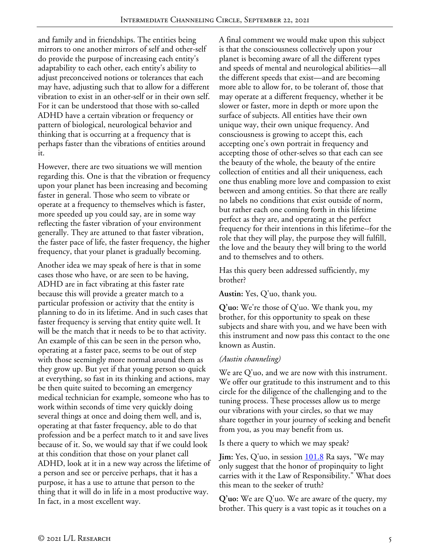and family and in friendships. The entities being mirrors to one another mirrors of self and other-self do provide the purpose of increasing each entity's adaptability to each other, each entity's ability to adjust preconceived notions or tolerances that each may have, adjusting such that to allow for a different vibration to exist in an other-self or in their own self. For it can be understood that those with so-called ADHD have a certain vibration or frequency or pattern of biological, neurological behavior and thinking that is occurring at a frequency that is perhaps faster than the vibrations of entities around it.

However, there are two situations we will mention regarding this. One is that the vibration or frequency upon your planet has been increasing and becoming faster in general. Those who seem to vibrate or operate at a frequency to themselves which is faster, more speeded up you could say, are in some way reflecting the faster vibration of your environment generally. They are attuned to that faster vibration, the faster pace of life, the faster frequency, the higher frequency, that your planet is gradually becoming.

Another idea we may speak of here is that in some cases those who have, or are seen to be having, ADHD are in fact vibrating at this faster rate because this will provide a greater match to a particular profession or activity that the entity is planning to do in its lifetime. And in such cases that faster frequency is serving that entity quite well. It will be the match that it needs to be to that activity. An example of this can be seen in the person who, operating at a faster pace, seems to be out of step with those seemingly more normal around them as they grow up. But yet if that young person so quick at everything, so fast in its thinking and actions, may be then quite suited to becoming an emergency medical technician for example, someone who has to work within seconds of time very quickly doing several things at once and doing them well, and is, operating at that faster frequency, able to do that profession and be a perfect match to it and save lives because of it. So, we would say that if we could look at this condition that those on your planet call ADHD, look at it in a new way across the lifetime of a person and see or perceive perhaps, that it has a purpose, it has a use to attune that person to the thing that it will do in life in a most productive way. In fact, in a most excellent way.

A final comment we would make upon this subject is that the consciousness collectively upon your planet is becoming aware of all the different types and speeds of mental and neurological abilities—all the different speeds that exist—and are becoming more able to allow for, to be tolerant of, those that may operate at a different frequency, whether it be slower or faster, more in depth or more upon the surface of subjects. All entities have their own unique way, their own unique frequency. And consciousness is growing to accept this, each accepting one's own portrait in frequency and accepting those of other-selves so that each can see the beauty of the whole, the beauty of the entire collection of entities and all their uniqueness, each one thus enabling more love and compassion to exist between and among entities. So that there are really no labels no conditions that exist outside of norm, but rather each one coming forth in this lifetime perfect as they are, and operating at the perfect frequency for their intentions in this lifetime--for the role that they will play, the purpose they will fulfill, the love and the beauty they will bring to the world and to themselves and to others.

Has this query been addressed sufficiently, my brother?

### **Austin:** Yes, Q'uo, thank you.

**Q'uo:** We're those of Q'uo. We thank you, my brother, for this opportunity to speak on these subjects and share with you, and we have been with this instrument and now pass this contact to the one known as Austin.

# *(Austin channeling)*

We are Q'uo, and we are now with this instrument. We offer our gratitude to this instrument and to this circle for the diligence of the challenging and to the tuning process. These processes allow us to merge our vibrations with your circles, so that we may share together in your journey of seeking and benefit from you, as you may benefit from us.

Is there a query to which we may speak?

**Jim:** Yes, Q'uo, in session **101.8** Ra says, "We may only suggest that the honor of propinquity to light carries with it the Law of Responsibility." What does this mean to the seeker of truth?

**Q'uo:** We are Q'uo. We are aware of the query, my brother. This query is a vast topic as it touches on a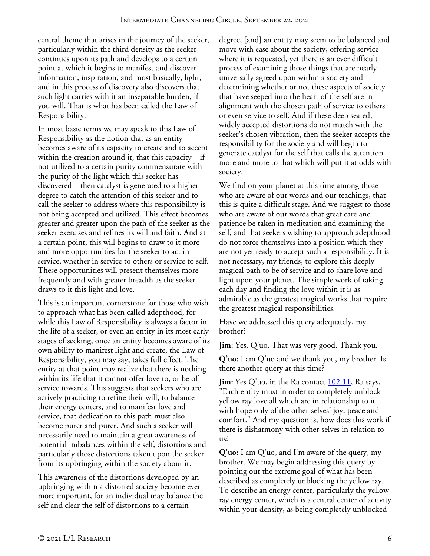central theme that arises in the journey of the seeker, particularly within the third density as the seeker continues upon its path and develops to a certain point at which it begins to manifest and discover information, inspiration, and most basically, light, and in this process of discovery also discovers that such light carries with it an inseparable burden, if you will. That is what has been called the Law of Responsibility.

In most basic terms we may speak to this Law of Responsibility as the notion that as an entity becomes aware of its capacity to create and to accept within the creation around it, that this capacity—if not utilized to a certain purity commensurate with the purity of the light which this seeker has discovered—then catalyst is generated to a higher degree to catch the attention of this seeker and to call the seeker to address where this responsibility is not being accepted and utilized. This effect becomes greater and greater upon the path of the seeker as the seeker exercises and refines its will and faith. And at a certain point, this will begins to draw to it more and more opportunities for the seeker to act in service, whether in service to others or service to self. These opportunities will present themselves more frequently and with greater breadth as the seeker draws to it this light and love.

This is an important cornerstone for those who wish to approach what has been called adepthood, for while this Law of Responsibility is always a factor in the life of a seeker, or even an entity in its most early stages of seeking, once an entity becomes aware of its own ability to manifest light and create, the Law of Responsibility, you may say, takes full effect. The entity at that point may realize that there is nothing within its life that it cannot offer love to, or be of service towards. This suggests that seekers who are actively practicing to refine their will, to balance their energy centers, and to manifest love and service, that dedication to this path must also become purer and purer. And such a seeker will necessarily need to maintain a great awareness of potential imbalances within the self, distortions and particularly those distortions taken upon the seeker from its upbringing within the society about it.

This awareness of the distortions developed by an upbringing within a distorted society become ever more important, for an individual may balance the self and clear the self of distortions to a certain

degree, [and] an entity may seem to be balanced and move with ease about the society, offering service where it is requested, yet there is an ever difficult process of examining those things that are nearly universally agreed upon within a society and determining whether or not these aspects of society that have seeped into the heart of the self are in alignment with the chosen path of service to others or even service to self. And if these deep seated, widely accepted distortions do not match with the seeker's chosen vibration, then the seeker accepts the responsibility for the society and will begin to generate catalyst for the self that calls the attention more and more to that which will put it at odds with society.

We find on your planet at this time among those who are aware of our words and our teachings, that this is quite a difficult stage. And we suggest to those who are aware of our words that great care and patience be taken in meditation and examining the self, and that seekers wishing to approach adepthood do not force themselves into a position which they are not yet ready to accept such a responsibility. It is not necessary, my friends, to explore this deeply magical path to be of service and to share love and light upon your planet. The simple work of taking each day and finding the love within it is as admirable as the greatest magical works that require the greatest magical responsibilities.

Have we addressed this query adequately, my brother?

**Jim:** Yes, Q'uo. That was very good. Thank you.

**Q'uo:** I am Q'uo and we thank you, my brother. Is there another query at this time?

**Jim:** Yes Q'uo, in the Ra contact <u>102.11</u>, Ra says, "Each entity must in order to completely unblock yellow ray love all which are in relationship to it with hope only of the other-selves' joy, peace and comfort." And my question is, how does this work if there is disharmony with other-selves in relation to us?

**Q'uo:** I am Q'uo, and I'm aware of the query, my brother. We may begin addressing this query by pointing out the extreme goal of what has been described as completely unblocking the yellow ray. To describe an energy center, particularly the yellow ray energy center, which is a central center of activity within your density, as being completely unblocked